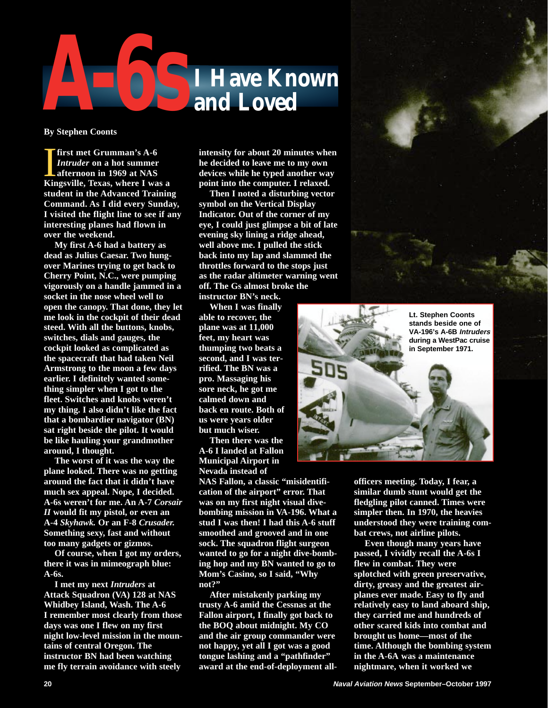

**By Stephen Coonts**

**I** first met Grumman's A-6<br> *Intruder* on a hot summer<br>
afternoon in 1969 at NAS<br>
Kingsville, Texas, where I was a **first met Grumman's A-6** *Intruder* **on a hot summer afternoon in 1969 at NAS student in the Advanced Training Command. As I did every Sunday, I visited the flight line to see if any interesting planes had flown in over the weekend.**

**My first A-6 had a battery as dead as Julius Caesar. Two hungover Marines trying to get back to Cherry Point, N.C., were pumping vigorously on a handle jammed in a socket in the nose wheel well to open the canopy. That done, they let me look in the cockpit of their dead steed. With all the buttons, knobs, switches, dials and gauges, the cockpit looked as complicated as the spacecraft that had taken Neil Armstrong to the moon a few days earlier. I definitely wanted something simpler when I got to the fleet. Switches and knobs weren't my thing. I also didn't like the fact that a bombardier navigator (BN) sat right beside the pilot. It would be like hauling your grandmother around, I thought.**

**The worst of it was the way the plane looked. There was no getting around the fact that it didn't have much sex appeal. Nope, I decided. A-6s weren't for me. An A-7** *Corsair II* **would fit my pistol, or even an A-4** *Skyhawk.* **Or an F-8** *Crusader.* **Something sexy, fast and without too many gadgets or gizmos.**

**Of course, when I got my orders, there it was in mimeograph blue: A-6s.**

**I met my next** *Intruders* **at Attack Squadron (VA) 128 at NAS Whidbey Island, Wash. The A-6 I remember most clearly from those days was one I flew on my first night low-level mission in the mountains of central Oregon. The instructor BN had been watching me fly terrain avoidance with steely**

**intensity for about 20 minutes when he decided to leave me to my own devices while he typed another way point into the computer. I relaxed.**

**Then I noted a disturbing vector symbol on the Vertical Display Indicator. Out of the corner of my eye, I could just glimpse a bit of late evening sky lining a ridge ahead, well above me. I pulled the stick back into my lap and slammed the throttles forward to the stops just as the radar altimeter warning went off. The Gs almost broke the**

**instructor BN's neck. When I was finally**

**able to recover, the plane was at 11,000 feet, my heart was thumping two beats a second, and I was terrified. The BN was a pro. Massaging his sore neck, he got me calmed down and back en route. Both of us were years older but much wiser.**

**Then there was the A-6 I landed at Fallon Municipal Airport in Nevada instead of**

**NAS Fallon, a classic "misidentification of the airport" error. That was on my first night visual divebombing mission in VA-196. What a stud I was then! I had this A-6 stuff smoothed and grooved and in one sock. The squadron flight surgeon wanted to go for a night dive-bombing hop and my BN wanted to go to Mom's Casino, so I said, "Why not?"**

**After mistakenly parking my trusty A-6 amid the Cessnas at the Fallon airport, I finally got back to the BOQ about midnight. My CO and the air group commander were not happy, yet all I got was a good tongue lashing and a "pathfinder" award at the end-of-deployment all-**



**officers meeting. Today, I fear, a similar dumb stunt would get the fledgling pilot canned. Times were simpler then. In 1970, the heavies understood they were training combat crews, not airline pilots.**

**Even though many years have passed, I vividly recall the A-6s I flew in combat. They were splotched with green preservative, dirty, greasy and the greatest airplanes ever made. Easy to fly and relatively easy to land aboard ship, they carried me and hundreds of other scared kids into combat and brought us home—most of the time. Although the bombing system in the A-6A was a maintenance nightmare, when it worked we**